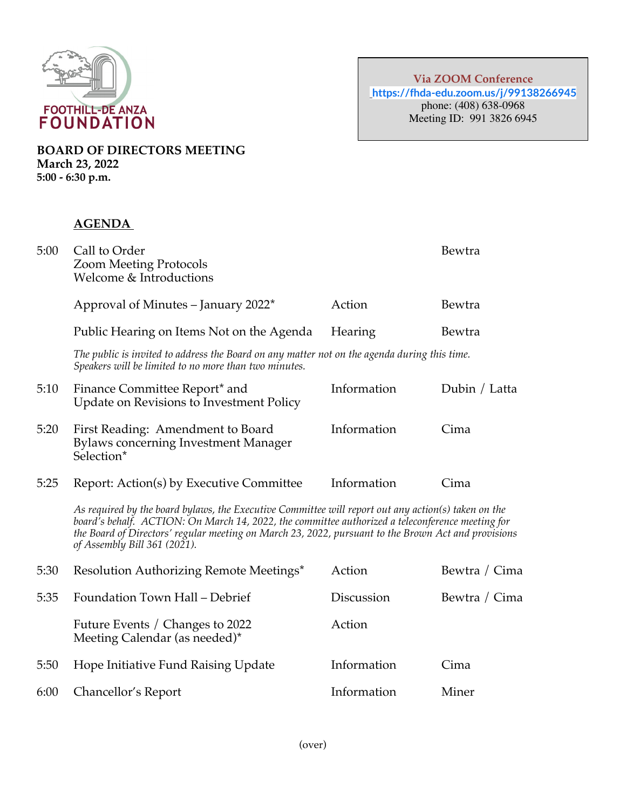

**BOARD OF DIRECTORS MEETING March 23, 2022 5:00 - 6:30 p.m.**

## **AGENDA**

| 5:00 | Call to Order<br><b>Zoom Meeting Protocols</b><br>Welcome & Introductions                                                                                                                                                                                                                                                                      |             | Bewtra        |
|------|------------------------------------------------------------------------------------------------------------------------------------------------------------------------------------------------------------------------------------------------------------------------------------------------------------------------------------------------|-------------|---------------|
|      | Approval of Minutes – January 2022*                                                                                                                                                                                                                                                                                                            | Action      | Bewtra        |
|      | Public Hearing on Items Not on the Agenda                                                                                                                                                                                                                                                                                                      | Hearing     | Bewtra        |
|      | The public is invited to address the Board on any matter not on the agenda during this time.<br>Speakers will be limited to no more than two minutes.                                                                                                                                                                                          |             |               |
| 5:10 | Finance Committee Report* and<br>Update on Revisions to Investment Policy                                                                                                                                                                                                                                                                      | Information | Dubin / Latta |
| 5:20 | First Reading: Amendment to Board<br><b>Bylaws concerning Investment Manager</b><br>Selection*                                                                                                                                                                                                                                                 | Information | Cima          |
| 5:25 | Report: Action(s) by Executive Committee                                                                                                                                                                                                                                                                                                       | Information | Cima          |
|      | As required by the board bylaws, the Executive Committee will report out any action(s) taken on the<br>board's behalf. ACTION: On March 14, 2022, the committee authorized a teleconference meeting for<br>the Board of Directors' regular meeting on March 23, 2022, pursuant to the Brown Act and provisions<br>of Assembly Bill 361 (2021). |             |               |
| 5:30 | Resolution Authorizing Remote Meetings*                                                                                                                                                                                                                                                                                                        | Action      | Bewtra / Cima |
| 5:35 | Foundation Town Hall - Debrief                                                                                                                                                                                                                                                                                                                 | Discussion  | Bewtra / Cima |
|      | Future Events / Changes to 2022<br>Meeting Calendar (as needed)*                                                                                                                                                                                                                                                                               | Action      |               |
| 5:50 | Hope Initiative Fund Raising Update                                                                                                                                                                                                                                                                                                            | Information | Cima          |
| 6:00 | Chancellor's Report                                                                                                                                                                                                                                                                                                                            | Information | Miner         |